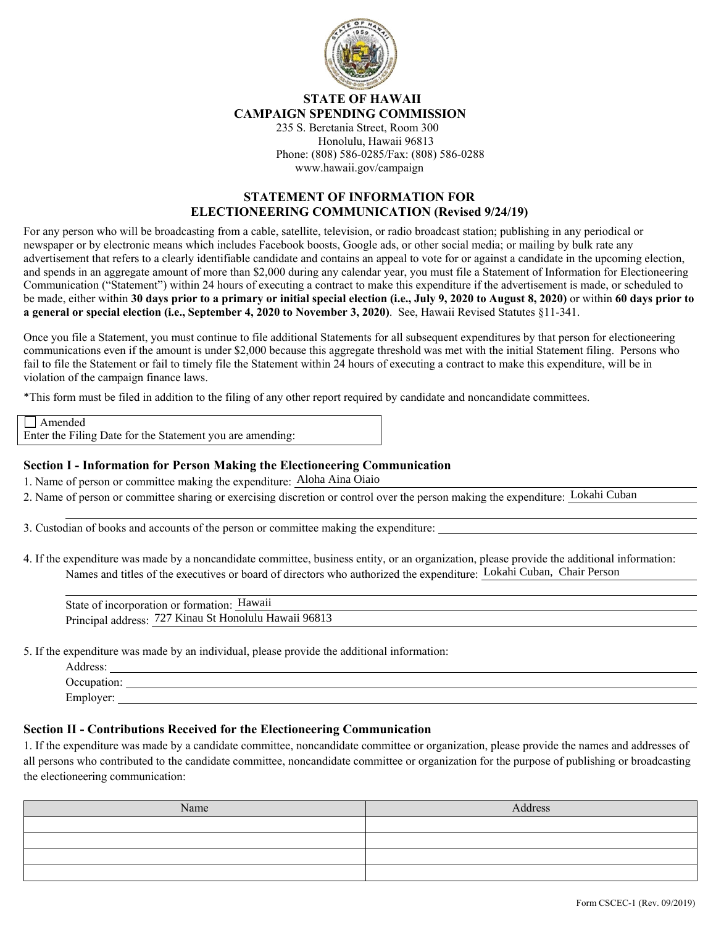

## **STATE OF HAWAII CAMPAIGN SPENDING COMMISSION**

235 S. Beretania Street, Room 300 Honolulu, Hawaii 96813 Phone: (808) 586-0285/Fax: (808) 586-0288 www.hawaii.gov/campaign

## **STATEMENT OF INFORMATION FOR ELECTIONEERING COMMUNICATION (Revised 9/24/19)**

For any person who will be broadcasting from a cable, satellite, television, or radio broadcast station; publishing in any periodical or newspaper or by electronic means which includes Facebook boosts, Google ads, or other social media; or mailing by bulk rate any advertisement that refers to a clearly identifiable candidate and contains an appeal to vote for or against a candidate in the upcoming election, and spends in an aggregate amount of more than \$2,000 during any calendar year, you must file a Statement of Information for Electioneering Communication ("Statement") within 24 hours of executing a contract to make this expenditure if the advertisement is made, or scheduled to be made, either within **30 days prior to a primary or initial special election (i.e., July 9, 2020 to August 8, 2020)** or within **60 days prior to a general or special election (i.e., September 4, 2020 to November 3, 2020)**. See, Hawaii Revised Statutes §11-341.

Once you file a Statement, you must continue to file additional Statements for all subsequent expenditures by that person for electioneering communications even if the amount is under \$2,000 because this aggregate threshold was met with the initial Statement filing. Persons who fail to file the Statement or fail to timely file the Statement within 24 hours of executing a contract to make this expenditure, will be in violation of the campaign finance laws.

\*This form must be filed in addition to the filing of any other report required by candidate and noncandidate committees.

| $\Box$ Amended                                            |  |
|-----------------------------------------------------------|--|
| Enter the Filing Date for the Statement you are amending: |  |

## **Section I - Information for Person Making the Electioneering Communication**

1. Name of person or committee making the expenditure: Aloha Aina Oiaio

2. Name of person or committee sharing or exercising discretion or control over the person making the expenditure:

3. Custodian of books and accounts of the person or committee making the expenditure:

4. If the expenditure was made by a noncandidate committee, business entity, or an organization, please provide the additional information: Names and titles of the executives or board of directors who authorized the expenditure: Lokahi Cuban, Chair Person

| of person or committee making the expenditure: Aloha Aina Oiaio                                                                   |
|-----------------------------------------------------------------------------------------------------------------------------------|
| of person or committee sharing or exercising discretion or control over the person making the expenditure: Lokahi Cuban           |
|                                                                                                                                   |
| dian of books and accounts of the person or committee making the expenditure:                                                     |
| expenditure was made by a noncandidate committee, business entity, or an organization, please provide the additional information: |
| Names and titles of the executives or board of directors who authorized the expenditure: Lokahi Cuban, Chair Person               |
|                                                                                                                                   |
| State of incorporation or formation: Hawaii                                                                                       |
| Principal address: 727 Kinau St Honolulu Hawaii 96813                                                                             |

5. If the expenditure was made by an individual, please provide the additional information:

| Address:    |  |
|-------------|--|
| Occupation: |  |
| Employer:   |  |

## **Section II - Contributions Received for the Electioneering Communication**

1. If the expenditure was made by a candidate committee, noncandidate committee or organization, please provide the names and addresses of all persons who contributed to the candidate committee, noncandidate committee or organization for the purpose of publishing or broadcasting the electioneering communication:

| Name | Address |
|------|---------|
|      |         |
|      |         |
|      |         |
|      |         |